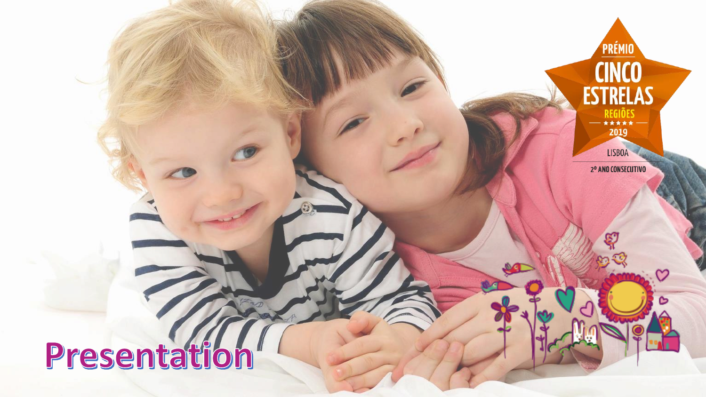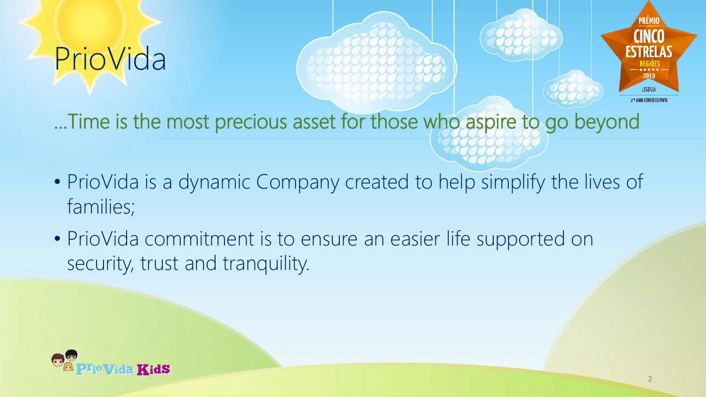# PrioVida





…Time is the most precious asset for those who aspire to go beyond

- PrioVida is a dynamic Company created to help simplify the lives of families;
- PrioVida commitment is to ensure an easier life supported on security, trust and tranquility.

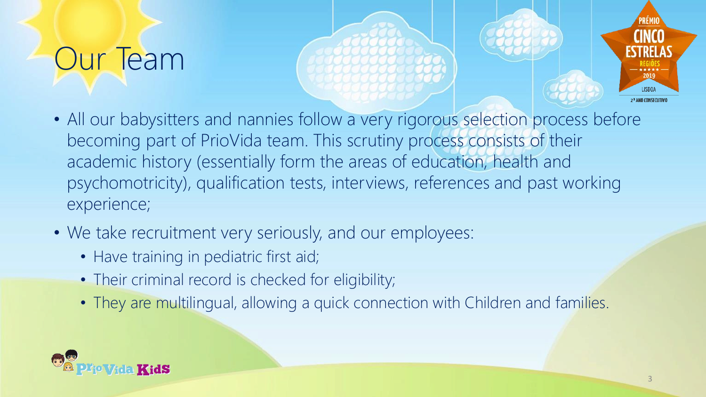## Our Team





- All our babysitters and nannies follow a very rigorous selection process before becoming part of PrioVida team. This scrutiny process consists of their academic history (essentially form the areas of education, health and psychomotricity), qualification tests, interviews, references and past working experience;
- We take recruitment very seriously, and our employees:
	- Have training in pediatric first aid;
	- Their criminal record is checked for eligibility;
	- They are multilingual, allowing a quick connection with Children and families.

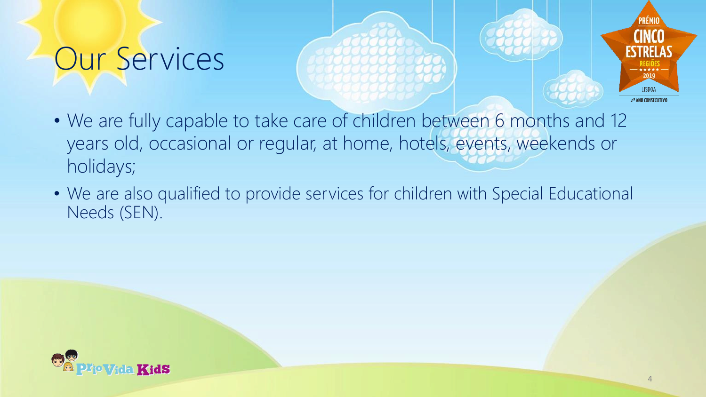### Our Services





- We are fully capable to take care of children between 6 months and 12 years old, occasional or regular, at home, hotels, events, weekends or holidays;
- We are also qualified to provide services for children with Special Educational Needs (SEN).

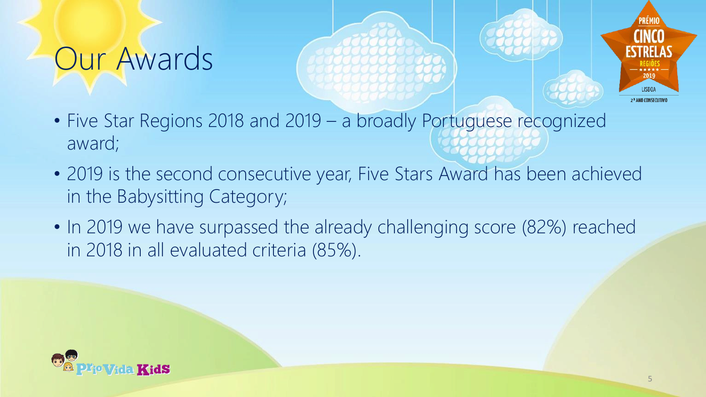### Our Awards





- Five Star Regions 2018 and 2019 a broadly Portuguese recognized award;
- 2019 is the second consecutive year, Five Stars Award has been achieved in the Babysitting Category;
- In 2019 we have surpassed the already challenging score (82%) reached in 2018 in all evaluated criteria (85%).

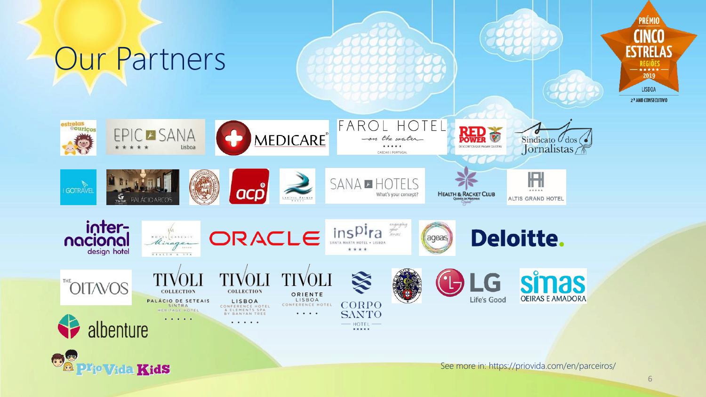